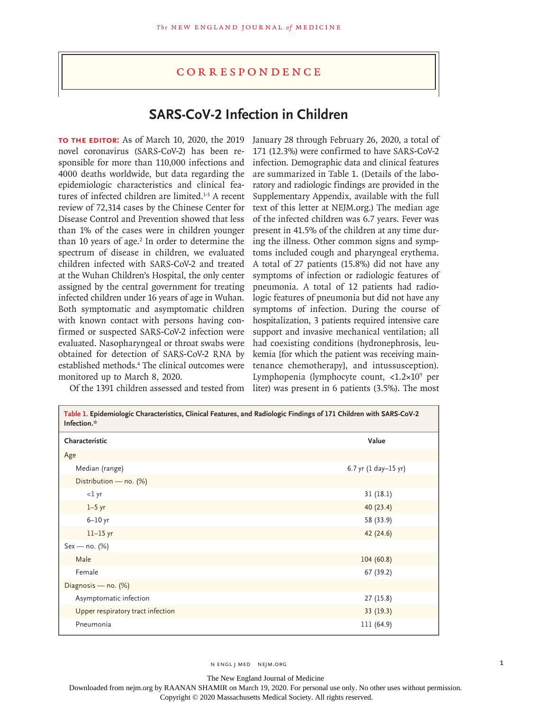## **CORRESPONDENCE**

## **SARS-CoV-2 Infection in Children**

**To the Editor:** As of March 10, 2020, the 2019 novel coronavirus (SARS-CoV-2) has been responsible for more than 110,000 infections and 4000 deaths worldwide, but data regarding the epidemiologic characteristics and clinical features of infected children are limited.<sup>1-3</sup> A recent review of 72,314 cases by the Chinese Center for Disease Control and Prevention showed that less than 1% of the cases were in children younger than 10 years of age.<sup>2</sup> In order to determine the spectrum of disease in children, we evaluated children infected with SARS-CoV-2 and treated at the Wuhan Children's Hospital, the only center assigned by the central government for treating infected children under 16 years of age in Wuhan. Both symptomatic and asymptomatic children with known contact with persons having confirmed or suspected SARS-CoV-2 infection were evaluated. Nasopharyngeal or throat swabs were obtained for detection of SARS-CoV-2 RNA by established methods.<sup>4</sup> The clinical outcomes were monitored up to March 8, 2020.

Of the 1391 children assessed and tested from liter) was present in 6 patients (3.5%). The most January 28 through February 26, 2020, a total of 171 (12.3%) were confirmed to have SARS-CoV-2 infection. Demographic data and clinical features are summarized in Table 1. (Details of the laboratory and radiologic findings are provided in the Supplementary Appendix, available with the full text of this letter at NEJM.org.) The median age of the infected children was 6.7 years. Fever was present in 41.5% of the children at any time during the illness. Other common signs and symptoms included cough and pharyngeal erythema. A total of 27 patients (15.8%) did not have any symptoms of infection or radiologic features of pneumonia. A total of 12 patients had radiologic features of pneumonia but did not have any symptoms of infection. During the course of hospitalization, 3 patients required intensive care support and invasive mechanical ventilation; all had coexisting conditions (hydronephrosis, leukemia [for which the patient was receiving maintenance chemotherapy], and intussusception). Lymphopenia (lymphocyte count, <1.2×109 per

| Table 1. Epidemiologic Characteristics, Clinical Features, and Radiologic Findings of 171 Children with SARS-CoV-2<br>Infection.* |                      |
|-----------------------------------------------------------------------------------------------------------------------------------|----------------------|
| Characteristic                                                                                                                    | Value                |
| Age                                                                                                                               |                      |
| Median (range)                                                                                                                    | 6.7 yr (1 day-15 yr) |
| Distribution - no. (%)                                                                                                            |                      |
| $<$ l yr                                                                                                                          | 31(18.1)             |
| $1-5$ yr                                                                                                                          | 40(23.4)             |
| $6-10$ yr                                                                                                                         | 58 (33.9)            |
| $11-15$ yr                                                                                                                        | 42 (24.6)            |
| $Sex - no. (%)$                                                                                                                   |                      |
| Male                                                                                                                              | 104(60.8)            |
| Female                                                                                                                            | 67 (39.2)            |
| Diagnosis - no. (%)                                                                                                               |                      |
| Asymptomatic infection                                                                                                            | 27(15.8)             |
| Upper respiratory tract infection                                                                                                 | 33(19.3)             |
| Pneumonia                                                                                                                         | 111 (64.9)           |

N ENGL J MED NEJM.ORG 1

The New England Journal of Medicine

Downloaded from nejm.org by RAANAN SHAMIR on March 19, 2020. For personal use only. No other uses without permission.

Copyright © 2020 Massachusetts Medical Society. All rights reserved.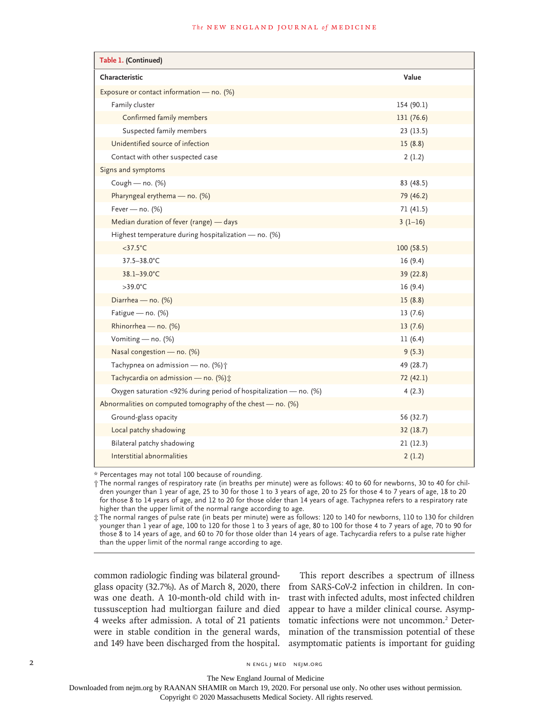## **The NEW ENGLAND JOURNAL of MEDICINE**

| Table 1. (Continued)                                              |            |  |
|-------------------------------------------------------------------|------------|--|
| Characteristic                                                    | Value      |  |
| Exposure or contact information - no. (%)                         |            |  |
| Family cluster                                                    | 154 (90.1) |  |
| Confirmed family members                                          | 131 (76.6) |  |
| Suspected family members                                          | 23(13.5)   |  |
| Unidentified source of infection                                  | 15(8.8)    |  |
| Contact with other suspected case                                 | 2(1.2)     |  |
| Signs and symptoms                                                |            |  |
| Cough - no. (%)                                                   | 83 (48.5)  |  |
| Pharyngeal erythema - no. (%)                                     | 79 (46.2)  |  |
| Fever - no. $(%)$                                                 | 71 (41.5)  |  |
| Median duration of fever (range) - days                           | $3(1-16)$  |  |
| Highest temperature during hospitalization - no. (%)              |            |  |
| $<$ 37.5 $^{\circ}$ C                                             | 100(58.5)  |  |
| 37.5-38.0°C                                                       | 16(9.4)    |  |
| 38.1-39.0°C                                                       | 39 (22.8)  |  |
| $>39.0^{\circ}$ C                                                 | 16(9.4)    |  |
| Diarrhea - no. (%)                                                | 15(8.8)    |  |
| Fatigue - no. (%)                                                 | 13(7.6)    |  |
| Rhinorrhea - no. (%)                                              | 13(7.6)    |  |
| Vomiting - no. (%)                                                | 11(6.4)    |  |
| Nasal congestion - no. (%)                                        | 9(5.3)     |  |
| Tachypnea on admission - no. (%) +                                | 49 (28.7)  |  |
| Tachycardia on admission - no. (%) ±                              | 72 (42.1)  |  |
| Oxygen saturation <92% during period of hospitalization - no. (%) | 4(2.3)     |  |
| Abnormalities on computed tomography of the chest $-$ no. (%)     |            |  |
| Ground-glass opacity                                              | 56 (32.7)  |  |
| Local patchy shadowing                                            | 32(18.7)   |  |
| Bilateral patchy shadowing                                        | 21(12.3)   |  |
| Interstitial abnormalities                                        | 2(1.2)     |  |

\* Percentages may not total 100 because of rounding.

† The normal ranges of respiratory rate (in breaths per minute) were as follows: 40 to 60 for newborns, 30 to 40 for children younger than 1 year of age, 25 to 30 for those 1 to 3 years of age, 20 to 25 for those 4 to 7 years of age, 18 to 20 for those 8 to 14 years of age, and 12 to 20 for those older than 14 years of age. Tachypnea refers to a respiratory rate higher than the upper limit of the normal range according to age.

‡ The normal ranges of pulse rate (in beats per minute) were as follows: 120 to 140 for newborns, 110 to 130 for children younger than 1 year of age, 100 to 120 for those 1 to 3 years of age, 80 to 100 for those 4 to 7 years of age, 70 to 90 for those 8 to 14 years of age, and 60 to 70 for those older than 14 years of age. Tachycardia refers to a pulse rate higher than the upper limit of the normal range according to age.

common radiologic finding was bilateral groundglass opacity (32.7%). As of March 8, 2020, there was one death. A 10-month-old child with intussusception had multiorgan failure and died 4 weeks after admission. A total of 21 patients were in stable condition in the general wards, and 149 have been discharged from the hospital.

This report describes a spectrum of illness from SARS-CoV-2 infection in children. In contrast with infected adults, most infected children appear to have a milder clinical course. Asymptomatic infections were not uncommon.<sup>2</sup> Determination of the transmission potential of these asymptomatic patients is important for guiding

The New England Journal of Medicine

Downloaded from nejm.org by RAANAN SHAMIR on March 19, 2020. For personal use only. No other uses without permission.

Copyright © 2020 Massachusetts Medical Society. All rights reserved.